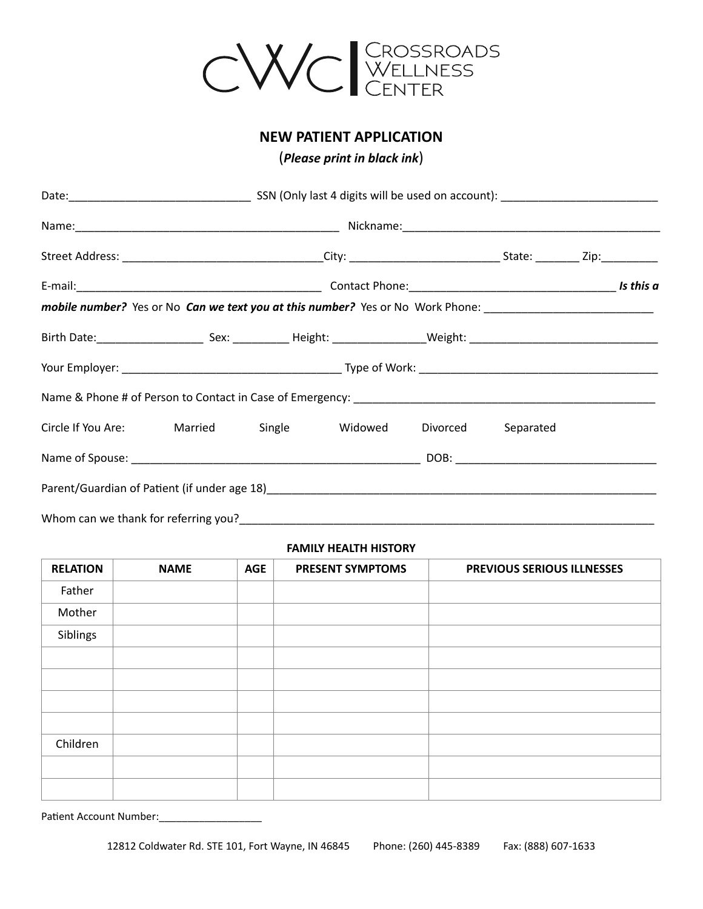

# **NEW PATIENT APPLICATION**

(*Please print in black ink*)

| mobile number? Yes or No Can we text you at this number? Yes or No Work Phone: _______________________________ |  |  |  |  |  |  |
|----------------------------------------------------------------------------------------------------------------|--|--|--|--|--|--|
|                                                                                                                |  |  |  |  |  |  |
|                                                                                                                |  |  |  |  |  |  |
|                                                                                                                |  |  |  |  |  |  |
| Circle If You Are: Married Single Widowed Divorced Separated                                                   |  |  |  |  |  |  |
|                                                                                                                |  |  |  |  |  |  |
|                                                                                                                |  |  |  |  |  |  |
|                                                                                                                |  |  |  |  |  |  |

### **FAMILY HEALTH HISTORY**

| <b>RELATION</b> | <b>NAME</b> | <b>AGE</b> | <b>PRESENT SYMPTOMS</b> | <b>PREVIOUS SERIOUS ILLNESSES</b> |
|-----------------|-------------|------------|-------------------------|-----------------------------------|
| Father          |             |            |                         |                                   |
| Mother          |             |            |                         |                                   |
| Siblings        |             |            |                         |                                   |
|                 |             |            |                         |                                   |
|                 |             |            |                         |                                   |
|                 |             |            |                         |                                   |
|                 |             |            |                         |                                   |
| Children        |             |            |                         |                                   |
|                 |             |            |                         |                                   |
|                 |             |            |                         |                                   |

Patient Account Number: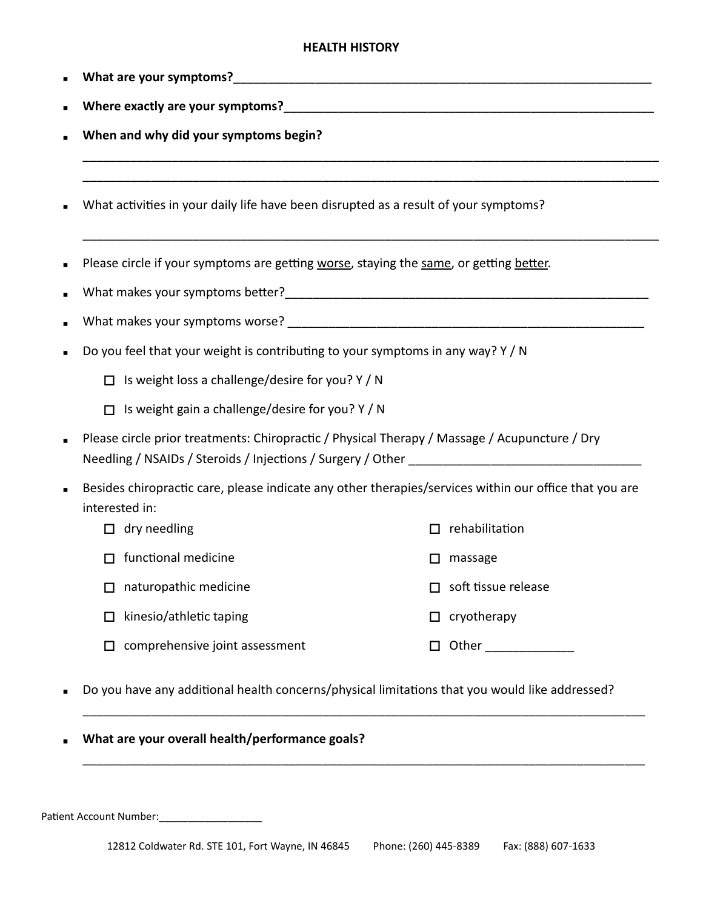# **HEALTH HISTORY**

\_\_\_\_\_\_\_\_\_\_\_\_\_\_\_\_\_\_\_\_\_\_\_\_\_\_\_\_\_\_\_\_\_\_\_\_\_\_\_\_\_\_\_\_\_\_\_\_\_\_\_\_\_\_\_\_\_\_\_\_\_\_\_\_\_\_\_\_\_\_\_\_\_\_\_\_\_\_\_\_\_\_\_\_ \_\_\_\_\_\_\_\_\_\_\_\_\_\_\_\_\_\_\_\_\_\_\_\_\_\_\_\_\_\_\_\_\_\_\_\_\_\_\_\_\_\_\_\_\_\_\_\_\_\_\_\_\_\_\_\_\_\_\_\_\_\_\_\_\_\_\_\_\_\_\_\_\_\_\_\_\_\_\_\_\_\_\_\_

\_\_\_\_\_\_\_\_\_\_\_\_\_\_\_\_\_\_\_\_\_\_\_\_\_\_\_\_\_\_\_\_\_\_\_\_\_\_\_\_\_\_\_\_\_\_\_\_\_\_\_\_\_\_\_\_\_\_\_\_\_\_\_\_\_\_\_\_\_\_\_\_\_\_\_\_\_\_\_\_\_\_\_\_

|  | ■ What are your symptoms? |
|--|---------------------------|
|--|---------------------------|

- Where exactly are your symptoms? **with all of the symptoms** of the symptoms of the symptoms of the symptoms of the symptoms of the symptoms of the symptoms of the symptoms of the symptoms of the symptoms of the symptoms of
- When and why did your symptoms begin?
- What activities in your daily life have been disrupted as a result of your symptoms?
- Please circle if your symptoms are getting worse, staying the same, or getting better.
- What makes your symptoms better?\_\_\_\_\_\_\_\_\_\_\_\_\_\_\_\_\_\_\_\_\_\_\_\_\_\_\_\_\_\_\_\_\_\_\_\_\_\_\_\_\_\_\_\_\_\_\_\_\_\_\_\_\_
- What makes your symptoms worse? \_\_\_\_\_\_\_\_\_\_\_\_\_\_\_\_\_\_\_\_\_\_\_\_\_\_\_\_\_\_\_\_\_\_\_\_\_\_\_\_\_\_\_\_\_\_\_\_\_\_\_\_
- Do you feel that your weight is contributing to your symptoms in any way?  $Y/N$ 
	- $\Box$  Is weight loss a challenge/desire for you? Y / N
	- $\Box$  Is weight gain a challenge/desire for you? Y / N
- Please circle prior treatments: Chiropractic / Physical Therapy / Massage / Acupuncture / Dry Needling / NSAIDs / Steroids / Injections / Surgery / Other
- Besides chiropractic care, please indicate any other therapies/services within our office that you are interested in:
	- $\Box$  dry needling  $\Box$  functional medicine  $\Box$  naturopathic medicine  $\Box$  kinesio/athletic taping  $\Box$  comprehensive joint assessment  $\Box$  rehabilitation  $\Box$  massage  $\Box$  soft tissue release  $\Box$  cryotherapy  $\Box$  Other  $\Box$
- Do you have any additional health concerns/physical limitations that you would like addressed?

\_\_\_\_\_\_\_\_\_\_\_\_\_\_\_\_\_\_\_\_\_\_\_\_\_\_\_\_\_\_\_\_\_\_\_\_\_\_\_\_\_\_\_\_\_\_\_\_\_\_\_\_\_\_\_\_\_\_\_\_\_\_\_\_\_\_\_\_\_\_\_\_\_\_\_\_\_\_\_\_\_\_

\_\_\_\_\_\_\_\_\_\_\_\_\_\_\_\_\_\_\_\_\_\_\_\_\_\_\_\_\_\_\_\_\_\_\_\_\_\_\_\_\_\_\_\_\_\_\_\_\_\_\_\_\_\_\_\_\_\_\_\_\_\_\_\_\_\_\_\_\_\_\_\_\_\_\_\_\_\_\_\_\_\_

**What are your overall health/performance goals?** 

Patient Account Number:\_\_\_\_\_\_\_\_\_\_\_\_\_\_\_\_\_\_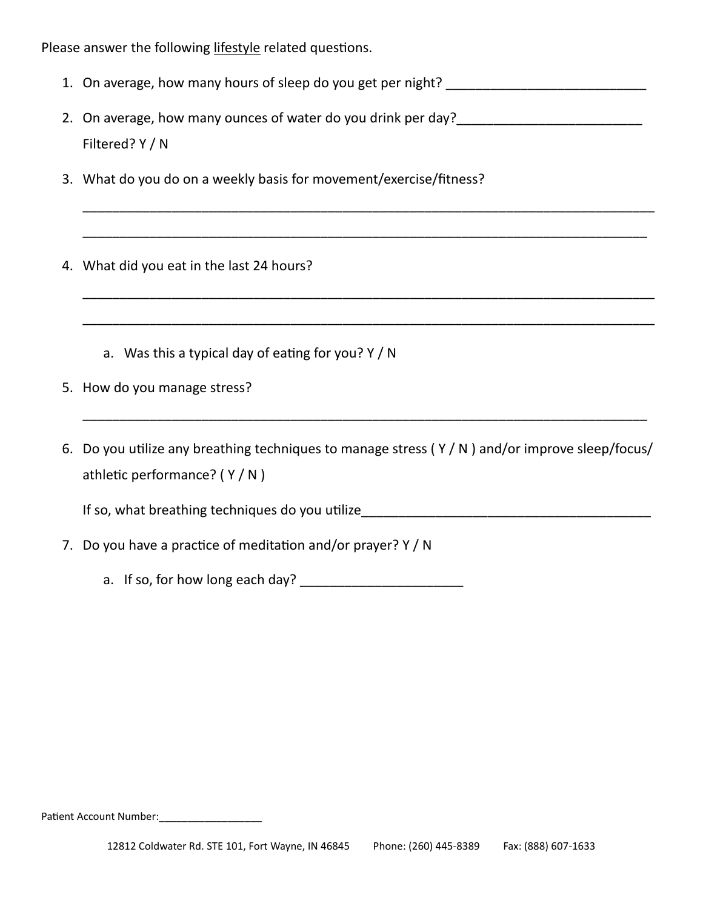Please answer the following lifestyle related questions.

| 1. On average, how many hours of sleep do you get per night? |  |
|--------------------------------------------------------------|--|
|--------------------------------------------------------------|--|

2. On average, how many ounces of water do you drink per day? Filtered? Y / N

\_\_\_\_\_\_\_\_\_\_\_\_\_\_\_\_\_\_\_\_\_\_\_\_\_\_\_\_\_\_\_\_\_\_\_\_\_\_\_\_\_\_\_\_\_\_\_\_\_\_\_\_\_\_\_\_\_\_\_\_\_\_\_\_\_\_\_\_\_\_\_\_\_\_\_\_\_

\_\_\_\_\_\_\_\_\_\_\_\_\_\_\_\_\_\_\_\_\_\_\_\_\_\_\_\_\_\_\_\_\_\_\_\_\_\_\_\_\_\_\_\_\_\_\_\_\_\_\_\_\_\_\_\_\_\_\_\_\_\_\_\_\_\_\_\_\_\_\_\_\_\_\_\_

\_\_\_\_\_\_\_\_\_\_\_\_\_\_\_\_\_\_\_\_\_\_\_\_\_\_\_\_\_\_\_\_\_\_\_\_\_\_\_\_\_\_\_\_\_\_\_\_\_\_\_\_\_\_\_\_\_\_\_\_\_\_\_\_\_\_\_\_\_\_\_\_\_\_\_\_\_

\_\_\_\_\_\_\_\_\_\_\_\_\_\_\_\_\_\_\_\_\_\_\_\_\_\_\_\_\_\_\_\_\_\_\_\_\_\_\_\_\_\_\_\_\_\_\_\_\_\_\_\_\_\_\_\_\_\_\_\_\_\_\_\_\_\_\_\_\_\_\_\_\_\_\_\_\_

3. What do you do on a weekly basis for movement/exercise/fitness?

4. What did you eat in the last 24 hours?

- a. Was this a typical day of eating for you? Y / N
- 5. How do you manage stress?
- 6. Do you utilize any breathing techniques to manage stress ( Y / N ) and/or improve sleep/focus/ athletic performance? ( Y / N )

\_\_\_\_\_\_\_\_\_\_\_\_\_\_\_\_\_\_\_\_\_\_\_\_\_\_\_\_\_\_\_\_\_\_\_\_\_\_\_\_\_\_\_\_\_\_\_\_\_\_\_\_\_\_\_\_\_\_\_\_\_\_\_\_\_\_\_\_\_\_\_\_\_\_\_\_

If so, what breathing techniques do you utilize\_\_\_\_\_\_\_\_\_\_\_\_\_\_\_\_\_\_\_\_\_\_\_\_\_\_\_\_\_\_\_\_\_\_

- 7. Do you have a practice of meditation and/or prayer? Y / N
	- a. If so, for how long each day?

Patient Account Number:\_\_\_\_\_\_\_\_\_\_\_\_\_\_\_\_\_\_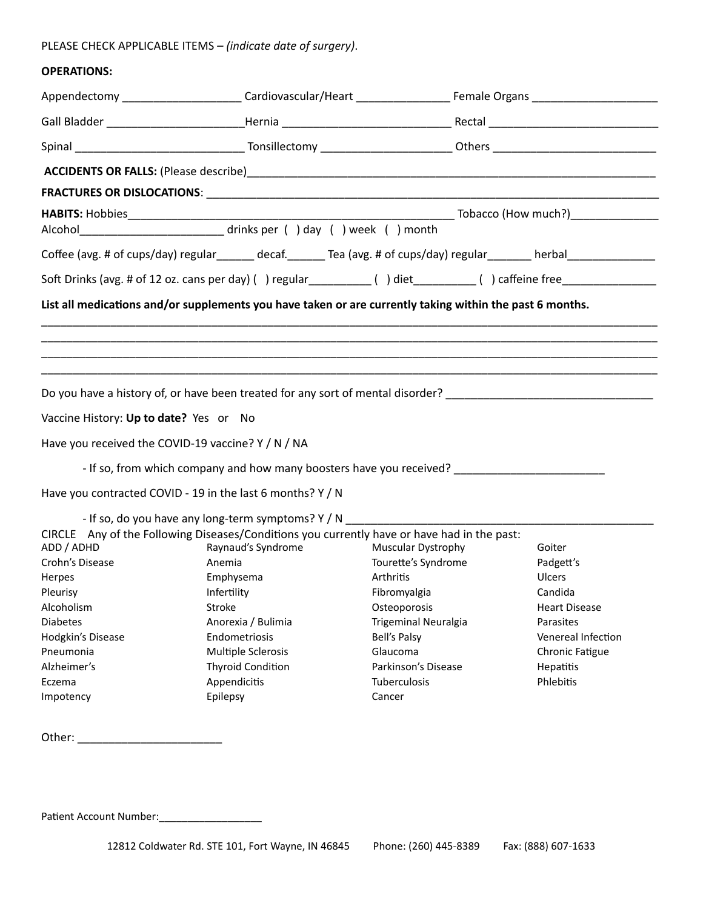# PLEASE CHECK APPLICABLE ITEMS *– (indicate date of surgery)*.

# **OPERATIONS:**

|                                        | Coffee (avg. # of cups/day) regular decaf. Tea (avg. # of cups/day) regular herbal                       |                      |                      |
|----------------------------------------|----------------------------------------------------------------------------------------------------------|----------------------|----------------------|
|                                        |                                                                                                          |                      |                      |
|                                        | List all medications and/or supplements you have taken or are currently taking within the past 6 months. |                      |                      |
|                                        |                                                                                                          |                      |                      |
|                                        |                                                                                                          |                      |                      |
|                                        |                                                                                                          |                      |                      |
|                                        | Do you have a history of, or have been treated for any sort of mental disorder?                          |                      |                      |
| Vaccine History: Up to date? Yes or No |                                                                                                          |                      |                      |
|                                        | Have you received the COVID-19 vaccine? Y / N / NA                                                       |                      |                      |
|                                        | - If so, from which company and how many boosters have you received?                                     |                      |                      |
|                                        | Have you contracted COVID - 19 in the last 6 months? Y / N                                               |                      |                      |
|                                        | - If so, do you have any long-term symptoms? Y / N                                                       |                      |                      |
|                                        | CIRCLE Any of the Following Diseases/Conditions you currently have or have had in the past:              |                      |                      |
| ADD / ADHD                             | Raynaud's Syndrome                                                                                       | Muscular Dystrophy   | Goiter               |
| Crohn's Disease                        | Anemia                                                                                                   | Tourette's Syndrome  | Padgett's            |
| Herpes                                 | Emphysema                                                                                                | Arthritis            | <b>Ulcers</b>        |
| Pleurisy                               | Infertility                                                                                              | Fibromyalgia         | Candida              |
| Alcoholism                             | Stroke                                                                                                   | Osteoporosis         | <b>Heart Disease</b> |
| <b>Diabetes</b>                        | Anorexia / Bulimia                                                                                       | Trigeminal Neuralgia | Parasites            |
| Hodgkin's Disease                      | Endometriosis                                                                                            | Bell's Palsy         | Venereal Infection   |
| Pneumonia                              | Multiple Sclerosis                                                                                       | Glaucoma             | Chronic Fatigue      |
| Alzheimer's                            | <b>Thyroid Condition</b>                                                                                 | Parkinson's Disease  | Hepatitis            |
| Eczema                                 | Appendicitis                                                                                             | Tuberculosis         | Phlebitis            |
| Impotency                              | Epilepsy                                                                                                 | Cancer               |                      |
|                                        |                                                                                                          |                      |                      |
|                                        |                                                                                                          |                      |                      |

Patient Account Number:\_\_\_\_\_\_\_\_\_\_\_\_\_\_\_\_\_\_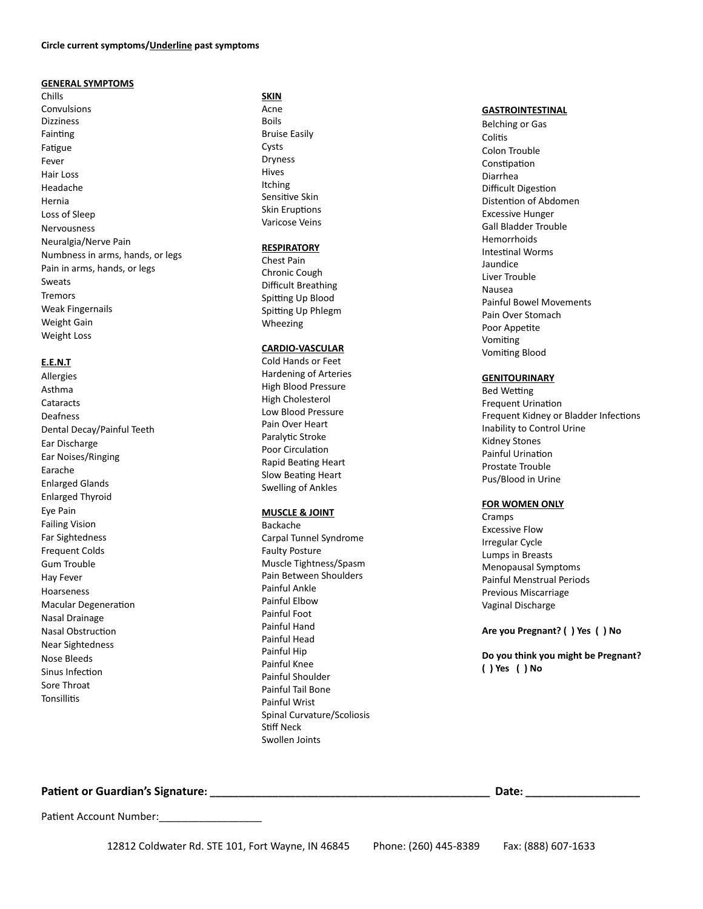#### **GENERAL SYMPTOMS**

Chills Convulsions Dizziness Fainting Fatigue Fever Hair Loss Headache Hernia Loss of Sleep Nervousness Neuralgia/Nerve Pain Numbness in arms, hands, or legs Pain in arms, hands, or legs Sweats Tremors Weak Fingernails Weight Gain Weight Loss

#### **E.E.N.T**

Allergies Asthma Cataracts **Deafness** Dental Decay/Painful Teeth Ear Discharge Ear Noises/Ringing Earache Enlarged Glands Enlarged Thyroid Eye Pain Failing Vision Far Sightedness Frequent Colds Gum Trouble Hay Fever Hoarseness Macular Degeneration Nasal Drainage Nasal Obstruction Near Sightedness Nose Bleeds Sinus Infection Sore Throat **Tonsillitis** 

#### **SKIN**

Acne Boils Bruise Easily Cysts Dryness Hives Itching Sensitive Skin Skin Eruptions Varicose Veins

#### **RESPIRATORY**

Chest Pain Chronic Cough Difficult Breathing Spitting Up Blood Spitting Up Phlegm Wheezing

#### **CARDIO-VASCULAR**

Cold Hands or Feet Hardening of Arteries High Blood Pressure High Cholesterol Low Blood Pressure Pain Over Heart Paralytic Stroke Poor Circulation Rapid Beating Heart Slow Beating Heart Swelling of Ankles

### **MUSCLE & JOINT**

Backache Carpal Tunnel Syndrome Faulty Posture Muscle Tightness/Spasm Pain Between Shoulders Painful Ankle Painful Elbow Painful Foot Painful Hand Painful Head Painful Hip Painful Knee Painful Shoulder Painful Tail Bone Painful Wrist Spinal Curvature/Scoliosis Stiff Neck Swollen Joints

#### **GASTROINTESTINAL**

Belching or Gas Colitis Colon Trouble Constipation Diarrhea Difficult Digestion Distention of Abdomen Excessive Hunger Gall Bladder Trouble Hemorrhoids Intestinal Worms Jaundice Liver Trouble Nausea Painful Bowel Movements Pain Over Stomach Poor Appetite Vomiting Vomiting Blood

#### **GENITOURINARY**

Bed Wetting Frequent Urination Frequent Kidney or Bladder Infections Inability to Control Urine Kidney Stones Painful Urination Prostate Trouble Pus/Blood in Urine

#### **FOR WOMEN ONLY**

Cramps Excessive Flow Irregular Cycle Lumps in Breasts Menopausal Symptoms Painful Menstrual Periods Previous Miscarriage Vaginal Discharge

**Are you Pregnant? ( ) Yes ( ) No**

**Do you think you might be Pregnant? ( ) Yes ( ) No**

**Patient or Guardian's Signature: \_\_\_\_\_\_\_\_\_\_\_\_\_\_\_\_\_\_\_\_\_\_\_\_\_\_\_\_\_\_\_\_\_\_\_\_\_\_\_\_\_\_\_\_\_\_\_\_\_ Date: \_\_\_\_\_\_\_\_\_\_\_\_\_\_\_\_\_\_\_\_**

Patient Account Number: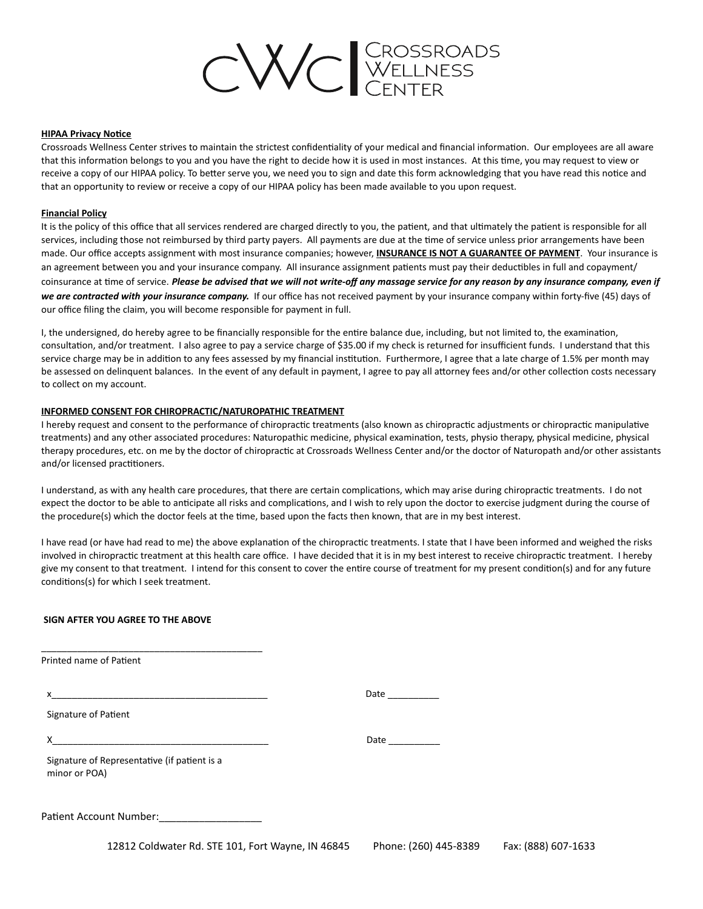

#### **HIPAA Privacy Notice**

Crossroads Wellness Center strives to maintain the strictest confidentiality of your medical and financial information. Our employees are all aware that this information belongs to you and you have the right to decide how it is used in most instances. At this time, you may request to view or receive a copy of our HIPAA policy. To better serve you, we need you to sign and date this form acknowledging that you have read this notice and that an opportunity to review or receive a copy of our HIPAA policy has been made available to you upon request.

#### **Financial Policy**

It is the policy of this office that all services rendered are charged directly to you, the patient, and that ultimately the patient is responsible for all services, including those not reimbursed by third party payers. All payments are due at the time of service unless prior arrangements have been made. Our office accepts assignment with most insurance companies; however, **INSURANCE IS NOT A GUARANTEE OF PAYMENT**. Your insurance is an agreement between you and your insurance company. All insurance assignment patients must pay their deductibles in full and copayment/ coinsurance at time of service. *Please be advised that we will not write-off any massage service for any reason by any insurance company, even if we are contracted with your insurance company.* If our office has not received payment by your insurance company within forty-five (45) days of our office filing the claim, you will become responsible for payment in full.

I, the undersigned, do hereby agree to be financially responsible for the entire balance due, including, but not limited to, the examination, consultation, and/or treatment. I also agree to pay a service charge of \$35.00 if my check is returned for insufficient funds. I understand that this service charge may be in addition to any fees assessed by my financial institution. Furthermore, I agree that a late charge of 1.5% per month may be assessed on delinquent balances. In the event of any default in payment, I agree to pay all attorney fees and/or other collection costs necessary to collect on my account.

#### **INFORMED CONSENT FOR CHIROPRACTIC/NATUROPATHIC TREATMENT**

I hereby request and consent to the performance of chiropractic treatments (also known as chiropractic adjustments or chiropractic manipulative treatments) and any other associated procedures: Naturopathic medicine, physical examination, tests, physio therapy, physical medicine, physical therapy procedures, etc. on me by the doctor of chiropractic at Crossroads Wellness Center and/or the doctor of Naturopath and/or other assistants and/or licensed practitioners.

I understand, as with any health care procedures, that there are certain complications, which may arise during chiropractic treatments. I do not expect the doctor to be able to anticipate all risks and complications, and I wish to rely upon the doctor to exercise judgment during the course of the procedure(s) which the doctor feels at the time, based upon the facts then known, that are in my best interest.

I have read (or have had read to me) the above explanation of the chiropractic treatments. I state that I have been informed and weighed the risks involved in chiropractic treatment at this health care office. I have decided that it is in my best interest to receive chiropractic treatment. I hereby give my consent to that treatment. I intend for this consent to cover the entire course of treatment for my present condition(s) and for any future conditions(s) for which I seek treatment.

#### **SIGN AFTER YOU AGREE TO THE ABOVE**

| <b>Printed name of Patient</b>                                |  |
|---------------------------------------------------------------|--|
| x                                                             |  |
| Signature of Patient                                          |  |
|                                                               |  |
| Signature of Representative (if patient is a<br>minor or POA) |  |
| Patient Account Number: National Account Number               |  |